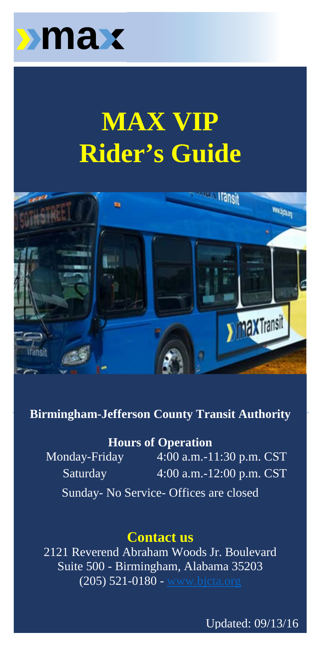

# **MAX VIP Rider's Guide**



#### $W = \frac{1}{2}$  viewers of  $\frac{1}{2}$ **Birmingham-Jefferson County Transit Authority**

#### $\mathbf{H}_{\text{source}}$  of  $\mathbf{O}_{\text{source}}$  who are deemed  $\mathbf{H}_{\text{source}}$ **Hours of Operation**

 $\frac{11001801 \text{ Qpc} \text{a}^{1001}}{4.00 \text{ s}} \approx 0.00 \text{ s} \approx 0.00 \text{ s}$ Monday-Friday 4:00 a.m.-11:30 p.m. CST bus routes. Saturday 4:00 a.m.-12:00 p.m. CST Sunday- No Service- Offices are closed

# vehicles that are specially equipped with wheelchair lifts and  $\alpha$

2121 Reverend Abraham Woods Jr. Boulevard customers with disabilities whose functional limitations prevent Suite 500 - Birmingham, Alabama 35203  $(205)$  521-0180 - [www.bjcta.org](http://www.bjcta.org/)

Updated: 09/13/16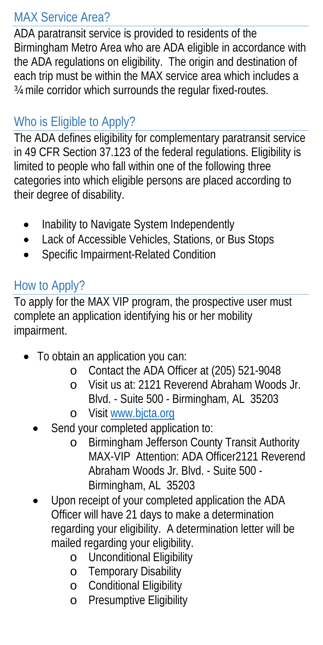#### MAX Service Area?

ADA paratransit service is provided to residents of the Birmingham Metro Area who are ADA eligible in accordance with the ADA regulations on eligibility. The origin and destination of each trip must be within the MAX service area which includes a ¾ mile corridor which surrounds the regular fixed-routes.

# Who is Eligible to Apply?

The ADA defines eligibility for complementary paratransit service in 49 CFR Section 37.123 of the federal regulations. Eligibility is limited to people who fall within one of the following three categories into which eligible persons are placed according to their degree of disability.

- Inability to Navigate System Independently
- Lack of Accessible Vehicles, Stations, or Bus Stops
- Specific Impairment-Related Condition

#### How to Apply?

To apply for the MAX VIP program, the prospective user must complete an application identifying his or her mobility impairment.

- To obtain an application you can:
	- o Contact the ADA Officer at (205) 521-9048
	- o Visit us at: 2121 Reverend Abraham Woods Jr. Blvd. - Suite 500 - Birmingham, AL 35203
	- o Visit [www.bjcta.org](http://www.bjcta.org/)
	- Send your completed application to:
		- o Birmingham Jefferson County Transit Authority MAX-VIP Attention: ADA Officer2121 Reverend Abraham Woods Jr. Blvd. - Suite 500 - Birmingham, AL 35203
	- Upon receipt of your completed application the ADA Officer will have 21 days to make a determination regarding your eligibility. A determination letter will be mailed regarding your eligibility.
		- o Unconditional Eligibility
		- o Temporary Disability
		- o Conditional Eligibility
		- o Presumptive Eligibility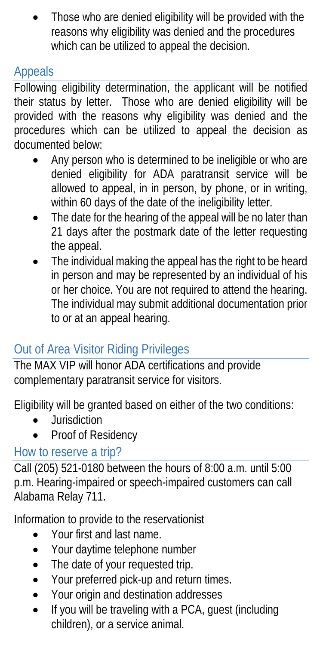• Those who are denied eligibility will be provided with the reasons why eligibility was denied and the procedures which can be utilized to appeal the decision.

#### Appeals

Following eligibility determination, the applicant will be notified their status by letter. Those who are denied eligibility will be provided with the reasons why eligibility was denied and the procedures which can be utilized to appeal the decision as documented below:

- Any person who is determined to be ineligible or who are denied eligibility for ADA paratransit service will be allowed to appeal, in in person, by phone, or in writing, within 60 days of the date of the ineligibility letter.
- The date for the hearing of the appeal will be no later than 21 days after the postmark date of the letter requesting the appeal.
- The individual making the appeal has the right to be heard in person and may be represented by an individual of his or her choice. You are not required to attend the hearing. The individual may submit additional documentation prior to or at an appeal hearing.

# Out of Area Visitor Riding Privileges

The MAX VIP will honor ADA certifications and provide complementary paratransit service for visitors.

Eligibility will be granted based on either of the two conditions:

- Jurisdiction
- Proof of Residency

# How to reserve a trip?

Call (205) 521-0180 between the hours of 8:00 a.m. until 5:00 p.m. Hearing-impaired or speech-impaired customers can call Alabama Relay 711.

Information to provide to the reservationist

- Your first and last name.
- Your daytime telephone number
- The date of your requested trip.
- Your preferred pick-up and return times.
- Your origin and destination addresses
- If you will be traveling with a PCA, guest (including children), or a service animal.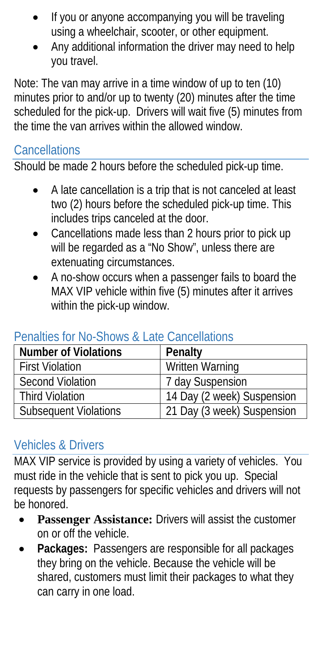- If you or anyone accompanying you will be traveling using a wheelchair, scooter, or other equipment.
- Any additional information the driver may need to help you travel.

Note: The van may arrive in a time window of up to ten (10) minutes prior to and/or up to twenty (20) minutes after the time scheduled for the pick-up. Drivers will wait five (5) minutes from the time the van arrives within the allowed window.

#### **Cancellations**

Should be made 2 hours before the scheduled pick-up time.

- A late cancellation is a trip that is not canceled at least two (2) hours before the scheduled pick-up time. This includes trips canceled at the door.
- Cancellations made less than 2 hours prior to pick up will be regarded as a "No Show", unless there are extenuating circumstances.
- A no-show occurs when a passenger fails to board the MAX VIP vehicle within five (5) minutes after it arrives within the pick-up window.

#### **Number of Violations** | Penalty First Violation Number 2015 Second Violation 7 day Suspension<br>
Third Violation 14 Day (2 week) S 14 Day (2 week) Suspension Subsequent Violations 21 Day (3 week) Suspension

#### Penalties for No-Shows & Late Cancellations

#### Vehicles & Drivers

MAX VIP service is provided by using a variety of vehicles. You must ride in the vehicle that is sent to pick you up. Special requests by passengers for specific vehicles and drivers will not be honored.

- **Passenger Assistance: Drivers will assist the customer** on or off the vehicle.
- **Packages:** Passengers are responsible for all packages they bring on the vehicle. Because the vehicle will be shared, customers must limit their packages to what they can carry in one load.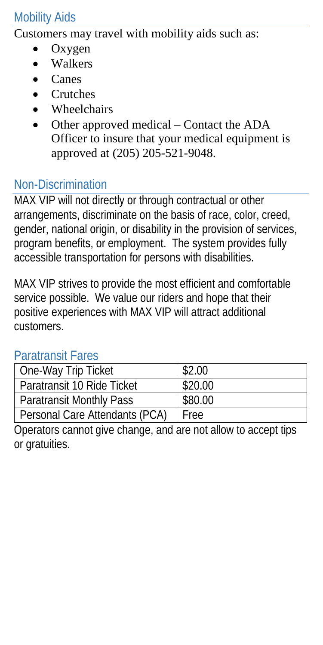#### Mobility Aids

Customers may travel with mobility aids such as:

- Oxygen
- Walkers
- Canes
- Crutches
- Wheelchairs
- Other approved medical Contact the ADA Officer to insure that your medical equipment is approved at (205) 205-521-9048.

# Non-Discrimination

MAX VIP will not directly or through contractual or other arrangements, discriminate on the basis of race, color, creed, gender, national origin, or disability in the provision of services, program benefits, or employment. The system provides fully accessible transportation for persons with disabilities.

MAX VIP strives to provide the most efficient and comfortable service possible. We value our riders and hope that their positive experiences with MAX VIP will attract additional customers.

#### Paratransit Fares

| One-Way Trip Ticket             | \$2.00      |
|---------------------------------|-------------|
| l Paratransit 10 Ride Ticket    | \$20.00     |
| <b>Paratransit Monthly Pass</b> | \$80.00     |
| Personal Care Attendants (PCA)  | <b>Free</b> |

Operators cannot give change, and are not allow to accept tips or gratuities.